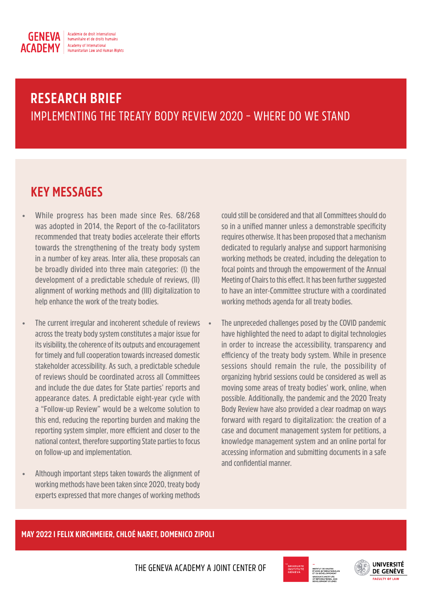

# **RESEARCH BRIEF** IMPLEMENTING THE TREATY BODY REVIEW 2020 – WHERE DO WE STAND

## **KEY MESSAGES**

- **• While progress has been made since Res. 68/268 was adopted in 2014, the Report of the co-facilitators recommended that treaty bodies accelerate their efforts towards the strengthening of the treaty body system in a number of key areas. Inter alia, these proposals can be broadly divided into three main categories: (I) the development of a predictable schedule of reviews, (II) alignment of working methods and (III) digitalization to help enhance the work of the treaty bodies.**
- **• The current irregular and incoherent schedule of reviews across the treaty body system constitutes a major issue for its visibility, the coherence of its outputs and encouragement for timely and full cooperation towards increased domestic stakeholder accessibility. As such, a predictable schedule of reviews should be coordinated across all Committees and include the due dates for State parties' reports and appearance dates. A predictable eight-year cycle with a "Follow-up Review" would be a welcome solution to this end, reducing the reporting burden and making the reporting system simpler, more efficient and closer to the national context, therefore supporting State parties to focus on follow-up and implementation.**
- **• Although important steps taken towards the alignment of working methods have been taken since 2020, treaty body experts expressed that more changes of working methods**

**could still be considered and that all Committees should do so in a unified manner unless a demonstrable specificity requires otherwise. It has been proposed that a mechanism dedicated to regularly analyse and support harmonising working methods be created, including the delegation to focal points and through the empowerment of the Annual Meeting of Chairs to this effect. It has been further suggested to have an inter-Committee structure with a coordinated working methods agenda for all treaty bodies.**

**• The unpreceded challenges posed by the COVID pandemic have highlighted the need to adapt to digital technologies in order to increase the accessibility, transparency and efficiency of the treaty body system. While in presence sessions should remain the rule, the possibility of organizing hybrid sessions could be considered as well as moving some areas of treaty bodies' work, online, when possible. Additionally, the pandemic and the 2020 Treaty Body Review have also provided a clear roadmap on ways forward with regard to digitalization: the creation of a case and document management system for petitions, a knowledge management system and an online portal for accessing information and submitting documents in a safe and confidential manner.**

## **MAY 2022 I FELIX KIRCHMEIER, CHLOÉ NARET, DOMENICO ZIPOLI**

THE GENEVA ACADEMY A JOINT CENTER OF



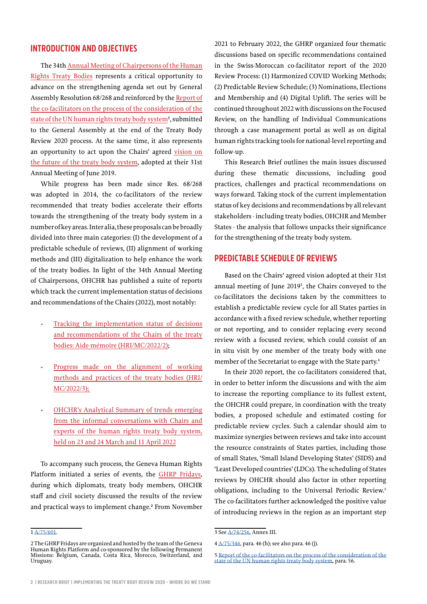## **INTRODUCTION AND OBJECTIVES**

The 34th [Annual Meeting of Chairpersons of the Human](https://www.ohchr.org/en/treaty-bodies/annual-meeting-chairpersons-human-rights-treaty-bodies) [Rights Treaty Bodies](https://www.ohchr.org/en/treaty-bodies/annual-meeting-chairpersons-human-rights-treaty-bodies) represents a critical opportunity to advance on the strengthening agenda set out by General Assembly Resolution 68/268 and reinforced by the [Report of](https://www.ohchr.org/sites/default/files/Documents/HRBodies/TB/HRTD/HRTB_Summary_Report.pdf) [the co-facilitators on the process of the consideration of the](https://www.ohchr.org/sites/default/files/Documents/HRBodies/TB/HRTD/HRTB_Summary_Report.pdf) [state of the UN human rights treaty body system](https://www.ohchr.org/sites/default/files/Documents/HRBodies/TB/HRTD/HRTB_Summary_Report.pdf)<sup>1</sup>, submitted to the General Assembly at the end of the Treaty Body Review 2020 process. At the same time, it also represents an opportunity to act upon the Chairs' agreed [vision on](https://documents-dds-ny.un.org/doc/UNDOC/GEN/N19/237/65/pdf/N1923765.pdf?OpenElement) [the future of the treaty body system](https://documents-dds-ny.un.org/doc/UNDOC/GEN/N19/237/65/pdf/N1923765.pdf?OpenElement), adopted at their 31st Annual Meeting of June 2019.

While progress has been made since Res. 68/268 was adopted in 2014, the co-facilitators of the review recommended that treaty bodies accelerate their efforts towards the strengthening of the treaty body system in a number of key areas. Inter alia, these proposals can be broadly divided into three main categories: (I) the development of a predictable schedule of reviews, (II) alignment of working methods and (III) digitalization to help enhance the work of the treaty bodies. In light of the 34th Annual Meeting of Chairpersons, OHCHR has published a suite of reports which track the current implementation status of decisions and recommendations of the Chairs (2022), most notably:

- [Tracking the implementation status of decisions](https://undocs.org/HRI/MC/2022/2) [and recommendations of the Chairs of the treaty](https://undocs.org/HRI/MC/2022/2) [bodies: Aide-mémoire](https://undocs.org/HRI/MC/2022/2) ([HRI/MC/2022/2](https://undocs.org/HRI/MC/2022/2));
- Progress made on the alignment of working methods and practices of the treaty bodies (HRI/ MC/2022/3);
- [OHCHR's Analytical Summary of trends emerging](https://undocs.org/HRI/MC/2022/3) [from the informal conversations with Chairs and](https://undocs.org/HRI/MC/2022/3) [experts of the human rights treaty body system,](https://undocs.org/HRI/MC/2022/3) [held on 23 and 24 March and 11 April 2022](https://undocs.org/HRI/MC/2022/3)

To accompany such process, the Geneva Human Rights Platform initiated a series of events, the [GHRP Fridays](https://www.geneva-academy.ch/geneva-humanrights-platform/initiatives/detail/65-ghrp-fridays), during which diplomats, treaty body members, OHCHR staff and civil society discussed the results of the review and practical ways to implement change.2 From November

2021 to February 2022, the GHRP organized four thematic discussions based on specific recommendations contained in the Swiss-Moroccan co-facilitator report of the 2020 Review Process: (1) Harmonized COVID Working Methods; (2) Predictable Review Schedule; (3) Nominations, Elections and Membership and (4) Digital Uplift. The series will be continued throughout 2022 with discussions on the Focused Review, on the handling of Individual Communications through a case management portal as well as on digital human rights tracking tools for national-level reporting and follow-up.

This Research Brief outlines the main issues discussed during these thematic discussions, including good practices, challenges and practical recommendations on ways forward. Taking stock of the current implementation status of key decisions and recommendations by all relevant stakeholders - including treaty bodies, OHCHR and Member States - the analysis that follows unpacks their significance for the strengthening of the treaty body system.

## **PREDICTABLE SCHEDULE OF REVIEWS**

Based on the Chairs' agreed vision adopted at their 31st annual meeting of June 20193 , the Chairs conveyed to the co-facilitators the decisions taken by the committees to establish a predictable review cycle for all States parties in accordance with a fixed review schedule, whether reporting or not reporting, and to consider replacing every second review with a focused review, which could consist of an in situ visit by one member of the treaty body with one member of the Secretariat to engage with the State party.4

In their 2020 report, the co-facilitators considered that, in order to better inform the discussions and with the aim to increase the reporting compliance to its fullest extent, the OHCHR could prepare, in coordination with the treaty bodies, a proposed schedule and estimated costing for predictable review cycles. Such a calendar should aim to maximize synergies between reviews and take into account the resource constraints of States parties, including those of small States, 'Small Island Developing States' (SIDS) and 'Least Developed countries' (LDCs). The scheduling of States reviews by OHCHR should also factor in other reporting obligations, including to the Universal Periodic Review.5 The co-facilitators further acknowledged the positive value of introducing reviews in the region as an important step

1 A/75/601.

<sup>3</sup> See [A/74/256](https://documents-dds-ny.un.org/doc/UNDOC/GEN/N19/237/65/pdf/N1923765.pdf?OpenElement), Annex III.

<sup>4</sup> [A/75/346,](http://undocs.org/en/A/75/346) para. 46 (h); see also para. 46 (j).

<sup>2</sup> The GHRP Fridays are organized and hosted by the team of the Geneva Human Rights Platform and co-sponsored by the following Permanent Missions: Belgium, Canada, Costa Rica, Morocco, Switzerland, and Uruguay.

<sup>5</sup> [Report of the co-facilitators on the process of the consideration of the](https://www.ohchr.org/sites/default/files/Documents/HRBodies/TB/HRTD/HRTB_Summary_Report.pdf)  [state of the UN human rights treaty body system,](https://www.ohchr.org/sites/default/files/Documents/HRBodies/TB/HRTD/HRTB_Summary_Report.pdf) para. 56.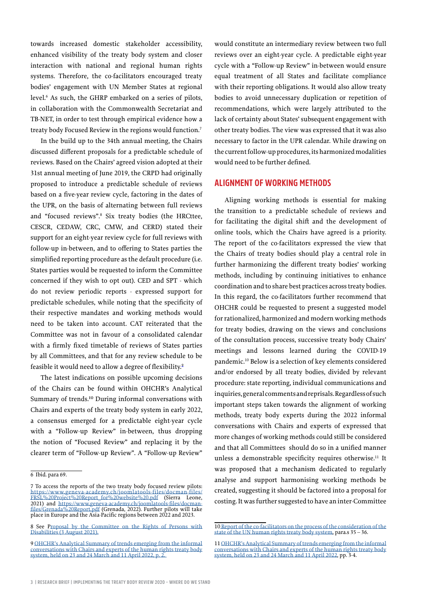towards increased domestic stakeholder accessibility, enhanced visibility of the treaty body system and closer interaction with national and regional human rights systems. Therefore, the co-facilitators encouraged treaty bodies' engagement with UN Member States at regional level.6 As such, the GHRP embarked on a series of pilots, in collaboration with the Commonwealth Secretariat and TB-NET, in order to test through empirical evidence how a treaty body Focused Review in the regions would function.7

In the build up to the 34th annual meeting, the Chairs discussed different proposals for a predictable schedule of reviews. Based on the Chairs' agreed vision adopted at their 31st annual meeting of June 2019, the CRPD had originally proposed to introduce a predictable schedule of reviews based on a five-year review cycle, factoring in the dates of the UPR, on the basis of alternating between full reviews and "focused reviews".<sup>8</sup> Six treaty bodies (the HRCttee, CESCR, CEDAW, CRC, CMW, and CERD) stated their support for an eight-year review cycle for full reviews with follow-up in-between, and to offering to States parties the simplified reporting procedure as the default procedure (i.e. States parties would be requested to inform the Committee concerned if they wish to opt out). CED and SPT - which do not review periodic reports - expressed support for predictable schedules, while noting that the specificity of their respective mandates and working methods would need to be taken into account. CAT reiterated that the Committee was not in favour of a consolidated calendar with a firmly fixed timetable of reviews of States parties by all Committees, and that for any review schedule to be feasible it would need to allow a degree of flexibility.<sup>9</sup>

The latest indications on possible upcoming decisions of the Chairs can be found within OHCHR's Analytical Summary of trends.<sup>10</sup> During informal conversations with Chairs and experts of the treaty body system in early 2022, a consensus emerged for a predictable eight-year cycle with a "Follow-up Review" in-between, thus dropping the notion of "Focused Review" and replacing it by the clearer term of "Follow-up Review". A "Follow-up Review"

would constitute an intermediary review between two full reviews over an eight-year cycle. A predictable eight-year cycle with a "Follow-up Review" in-between would ensure equal treatment of all States and facilitate compliance with their reporting obligations. It would also allow treaty bodies to avoid unnecessary duplication or repetition of recommendations, which were largely attributed to the lack of certainty about States' subsequent engagement with other treaty bodies. The view was expressed that it was also necessary to factor in the UPR calendar. While drawing on the current follow-up procedures, its harmonized modalities would need to be further defined.

## **ALIGNMENT OF WORKING METHODS**

Aligning working methods is essential for making the transition to a predictable schedule of reviews and for facilitating the digital shift and the development of online tools, which the Chairs have agreed is a priority. The report of the co-facilitators expressed the view that the Chairs of treaty bodies should play a central role in further harmonizing the different treaty bodies' working methods, including by continuing initiatives to enhance coordination and to share best practices across treaty bodies. In this regard, the co-facilitators further recommend that OHCHR could be requested to present a suggested model for rationalized, harmonized and modern working methods for treaty bodies, drawing on the views and conclusions of the consultation process, successive treaty body Chairs' meetings and lessons learned during the COVID-19 pandemic.10 Below is a selection of key elements considered and/or endorsed by all treaty bodies, divided by relevant procedure: state reporting, individual communications and inquiries, general comments and reprisals. Regardless of such important steps taken towards the alignment of working methods, treaty body experts during the 2022 informal conversations with Chairs and experts of expressed that more changes of working methods could still be considered and that all Committees should do so in a unified manner unless a demonstrable specificity requires otherwise.<sup>11</sup> It was proposed that a mechanism dedicated to regularly analyse and support harmonising working methods be created, suggesting it should be factored into a proposal for costing. It was further suggested to have an inter-Committee

<sup>6</sup> Ibid. para 69.

<sup>7</sup> To access the reports of the two treaty body focused review pilots: [https://www.geneva-academy.ch/joomlatools-files/docman-files/](https://www.geneva-academy.ch/joomlatools-files/docman-files/FRSL%20Project%20Report_for%20website%20.pdf) [FRSL%20Project%20Report\\_for%20website%20.pdf](https://www.geneva-academy.ch/joomlatools-files/docman-files/FRSL%20Project%20Report_for%20website%20.pdf) (Sierra Leone, 2021) and [https://www.geneva-academy.ch/joomlatools-files/docman](https://www.geneva-academy.ch/joomlatools-files/docman-files/Grenada%20Report.pdf)[files/Grenada%20Report.pdf](https://www.geneva-academy.ch/joomlatools-files/docman-files/Grenada%20Report.pdf) (Grenada, 2022). Further pilots will take place in Europe and the Asia-Pacific regions between 2022 and 2023.

<sup>8</sup> See [Proposal by the Committee on the Rights of Persons with](https://www.ohchr.org/sites/default/files/Documents/HRBodies/Annual-meeting/Proposal-CRPD-3August2021.docx) [Disabilities \(3 August 2021\).](https://www.ohchr.org/sites/default/files/Documents/HRBodies/Annual-meeting/Proposal-CRPD-3August2021.docx)

<sup>9</sup> [OHCHR's Analytical Summary of trends emerging from the informal](https://www.ohchr.org/sites/default/files/2022-05/summary-informal-conversation-3may2022.docx) [conversations with Chairs and experts of the human rights treaty body](https://www.ohchr.org/sites/default/files/2022-05/summary-informal-conversation-3may2022.docx) [system, held on 23 and 24 March and 11 April 2022,](https://www.ohchr.org/sites/default/files/2022-05/summary-informal-conversation-3may2022.docx) p. 2.

<sup>10</sup> [Report of the co-facilitators on the process of the consideration of the](https://www.ohchr.org/sites/default/files/Documents/HRBodies/TB/HRTD/HRTB_Summary_Report.pdf)  [state of the UN human rights treaty body system,](https://www.ohchr.org/sites/default/files/Documents/HRBodies/TB/HRTD/HRTB_Summary_Report.pdf) para.s 35 – 36.

<sup>11</sup> [OHCHR's Analytical Summary of trends emerging from the informal](https://www.ohchr.org/sites/default/files/2022-05/summary-informal-conversation-3may2022.docx)  [conversations with Chairs and experts of the human rights treaty body](https://www.ohchr.org/sites/default/files/2022-05/summary-informal-conversation-3may2022.docx)  [system, held on 23 and 24 March and 11 April 2022](https://www.ohchr.org/sites/default/files/2022-05/summary-informal-conversation-3may2022.docx), pp. 3-4.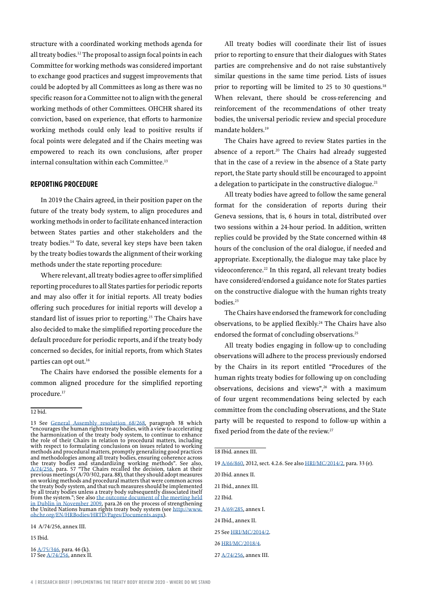structure with a coordinated working methods agenda for all treaty bodies.12 The proposal to assign focal points in each Committee for working methods was considered important to exchange good practices and suggest improvements that could be adopted by all Committees as long as there was no specific reason for a Committee not to align with the general working methods of other Committees. OHCHR shared its conviction, based on experience, that efforts to harmonize working methods could only lead to positive results if focal points were delegated and if the Chairs meeting was empowered to reach its own conclusions, after proper internal consultation within each Committee.<sup>13</sup>

#### **REPORTING PROCEDURE**

In 2019 the Chairs agreed, in their position paper on the future of the treaty body system, to align procedures and working methods in order to facilitate enhanced interaction between States parties and other stakeholders and the treaty bodies.14 To date, several key steps have been taken by the treaty bodies towards the alignment of their working methods under the state reporting procedure:

Where relevant, all treaty bodies agree to offer simplified reporting procedures to all States parties for periodic reports and may also offer it for initial reports. All treaty bodies offering such procedures for initial reports will develop a standard list of issues prior to reporting.15 The Chairs have also decided to make the simplified reporting procedure the default procedure for periodic reports, and if the treaty body concerned so decides, for initial reports, from which States parties can opt out.<sup>16</sup>

The Chairs have endorsed the possible elements for a common aligned procedure for the simplified reporting procedure.<sup>17</sup>

12 bid.

14 [A/74/256,](http://undocs.org/en/A/74/256) annex III.

15 Ibid.

16 [A/75/346, p](http://undocs.org/en/A/75/346)ara. 46 (k). 17 See [A/74/256, a](http://undocs.org/en/A/74/256)nnex II.

All treaty bodies will coordinate their list of issues prior to reporting to ensure that their dialogues with States parties are comprehensive and do not raise substantively similar questions in the same time period. Lists of issues prior to reporting will be limited to 25 to 30 questions.<sup>18</sup> When relevant, there should be cross-referencing and reinforcement of the recommendations of other treaty bodies, the universal periodic review and special procedure mandate holders.<sup>19</sup>

The Chairs have agreed to review States parties in the absence of a report.<sup>20</sup> The Chairs had already suggested that in the case of a review in the absence of a State party report, the State party should still be encouraged to appoint a delegation to participate in the constructive dialogue.<sup>21</sup>

All treaty bodies have agreed to follow the same general format for the consideration of reports during their Geneva sessions, that is, 6 hours in total, distributed over two sessions within a 24-hour period. In addition, written replies could be provided by the State concerned within 48 hours of the conclusion of the oral dialogue, if needed and appropriate. Exceptionally, the dialogue may take place by videoconference.<sup>22</sup> In this regard, all relevant treaty bodies have considered/endorsed a guidance note for States parties on the constructive dialogue with the human rights treaty bodies.<sup>23</sup>

The Chairs have endorsed the framework for concluding observations, to be applied flexibly.24 The Chairs have also endorsed the format of concluding observations.<sup>25</sup>

All treaty bodies engaging in follow-up to concluding observations will adhere to the process previously endorsed by the Chairs in its report entitled "Procedures of the human rights treaty bodies for following up on concluding observations, decisions and views",26 with a maximum of four urgent recommendations being selected by each committee from the concluding observations, and the State party will be requested to respond to follow-up within a fixed period from the date of the review.<sup>27</sup>

22 Ibid.

24 Ibid., annex II.

26 HRI/MC/2018/4.

<sup>13</sup> See [General Assembly resolution 68/268](https://documents-dds-ny.un.org/doc/UNDOC/GEN/N13/455/53/pdf/N1345553.pdf?OpenElement), paragraph 38 which "encourages the human rights treaty bodies, with a view to accelerating the harmonization of the treaty body system, to continue to enhance the role of their Chairs in relation to procedural matters, including with respect to formulating conclusions on issues related to working methods and procedural matters, promptly generalizing good practices and methodologies among all treaty bodies, ensuring coherence across the treaty bodies and standardizing working methods". See also, [A/74/256,](https://documents-dds-ny.un.org/doc/UNDOC/GEN/N19/237/65/pdf/N1923765.pdf?OpenElement) para. 57 "The Chairs recalled the decision, taken at their previous meetings (A/70/302, para. 88), that they should adopt measures on working methods and procedural matters that were common across the treaty body system, and that such measures should be implemented by all treaty bodies unless a treaty body subsequently dissociated itself from the system."; See also [the outcome document of the meeting held](https://www.ohchr.org/en/treaty-bodies/treaty-body-strengthening-outcome-documents-reports-and-statements) [in Dublin in November 2009,](https://www.ohchr.org/en/treaty-bodies/treaty-body-strengthening-outcome-documents-reports-and-statements) para.26 on the process of strengthening the United Nations human rights treaty body system (see [http://www.](http://www.ohchr.org/EN/HRBodies/HRTD/Pages/Documents.aspx) [ohchr.org/EN/HRBodies/HRTD/Pages/Documents.aspx\)](http://www.ohchr.org/EN/HRBodies/HRTD/Pages/Documents.aspx).

<sup>18</sup> Ibid. annex III.

<sup>19</sup> [A/66/860,](http://undocs.org/en/A/66/860) 2012, sect. 4.2.6. See also [HRI/MC/2014/2,](http://undocs.org/en/HRI/MC/2014/2) para. 33 (e).

<sup>20</sup> Ibid. annex II.

<sup>21</sup> Ibid., annex III.

<sup>23</sup> [A/69/285,](http://undocs.org/en/A/69/285) annex I.

<sup>25</sup> See [HRI/MC/2014/2.](http://undocs.org/en/HRI/MC/2014/2)

<sup>27</sup> A/74/256, annex III.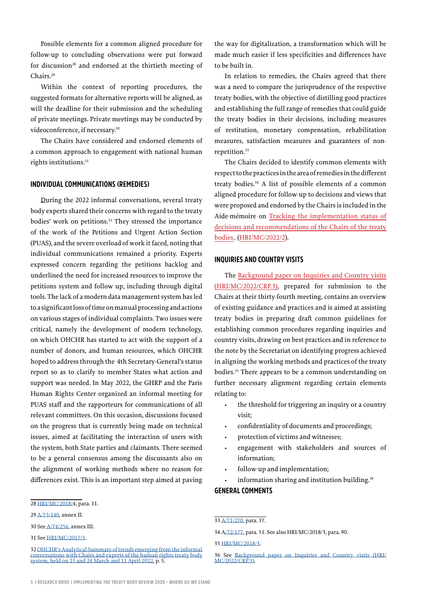Possible elements for a common aligned procedure for follow-up to concluding observations were put forward for discussion<sup>28</sup> and endorsed at the thirtieth meeting of Chairs.29

Within the context of reporting procedures, the suggested formats for alternative reports will be aligned, as will the deadline for their submission and the scheduling of private meetings. Private meetings may be conducted by videoconference, if necessary.<sup>30</sup>

The Chairs have considered and endorsed elements of a common approach to engagement with national human rights institutions.<sup>31</sup>

#### **INDIVIDUAL COMMUNICATIONS (REMEDIES)**

During the 2022 informal conversations, several treaty body experts shared their concerns with regard to the treaty bodies' work on petitions.<sup>32</sup> They stressed the importance of the work of the Petitions and Urgent Action Section (PUAS), and the severe overload of work it faced, noting that individual communications remained a priority. Experts expressed concern regarding the petitions backlog and underlined the need for increased resources to improve the petitions system and follow up, including through digital tools. The lack of a modern data management system has led to a significant loss of time on manual processing and actions on various stages of individual complaints. Two issues were critical, namely the development of modern technology, on which OHCHR has started to act with the support of a number of donors, and human resources, which OHCHR hoped to address through the 4th Secretary-General's status report so as to clarify to member States what action and support was needed. In May 2022, the GHRP and the Paris Human Rights Center organized an informal meeting for PUAS staff and the rapporteurs for communications of all relevant committees. On this occasion, discussions focused on the progress that is currently being made on technical issues, aimed at facilitating the interaction of users with the system, both State parties and claimants. There seemed to be a general consensus among the discussants also on the alignment of working methods where no reason for differences exist. This is an important step aimed at paving

the way for digitalization, a transformation which will be made much easier if less specificities and differences have to be built in.

In relation to remedies, the Chairs agreed that there was a need to compare the jurisprudence of the respective treaty bodies, with the objective of distilling good practices and establishing the full range of remedies that could guide the treaty bodies in their decisions, including measures of restitution, monetary compensation, rehabilitation measures, satisfaction measures and guarantees of nonrepetition.<sup>33</sup>

The Chairs decided to identify common elements with respect to the practices in the area of remedies in the different treaty bodies.34 A list of possible elements of a common aligned procedure for follow-up to decisions and views that were proposed and endorsed by the Chairs is included in the Aide-mémoire on [Tracking the implementation status of](https://undocs.org/HRI/MC/2022/2)  [decisions and recommendations of the Chairs of the treaty](https://undocs.org/HRI/MC/2022/2)  bodies\_([HRI/MC/2022/2\)](https://undocs.org/HRI/MC/2022/2).

#### **INQUIRIES AND COUNTRY VISITS**

The [Background paper on Inquiries and Country visits](https://tbinternet.ohchr.org/_layouts/15/treatybodyexternal/Download.aspx?symbolno=HRI%2fMC%2f2022%2fCRP.3&Lang=en)  [\(HRI/MC/2022/CRP.3\)](https://tbinternet.ohchr.org/_layouts/15/treatybodyexternal/Download.aspx?symbolno=HRI%2fMC%2f2022%2fCRP.3&Lang=en), prepared for submission to the Chairs at their thirty-fourth meeting, contains an overview of existing guidance and practices and is aimed at assisting treaty bodies in preparing draft common guidelines for establishing common procedures regarding inquiries and country visits, drawing on best practices and in reference to the note by the Secretariat on identifying progress achieved in aligning the working methods and practices of the treaty bodies.35 There appears to be a common understanding on further necessary alignment regarding certain elements relating to:

- the threshold for triggering an inquiry or a country visit;
- confidentiality of documents and proceedings;
- protection of victims and witnesses;
- engagement with stakeholders and sources of information;
- follow-up and implementation;
- information sharing and institution building.<sup>36</sup>

#### **GENERAL COMMENTS**

#### 33 [A/71/270,](http://undocs.org/en/A/71/270) para. 37.

34 [A/72/177,](http://undocs.org/en/A/72/177) para. 51. See also [HRI/MC/2018/3,](http://undocs.org/en/HRI/MC/2018/3) para. 90.

35 [HRI/MC/2018/3.](http://undocs.org/en/HRI/MC/2018/3)

<sup>28</sup> [HRI/MC/2018/4,](http://undocs.org/en/HRI/MC/2018/4) para. 11.

<sup>29</sup> [A/73/140, a](http://undocs.org/en/A/73/140)nnex II.

<sup>30</sup> See [A/74/256, a](http://undocs.org/en/A/74/256)nnex III.

<sup>31</sup> See [HRI/MC/2017/3.](https://undocs.org/en/HRI/MC/2017/3)

<sup>32</sup> [OHCHR's Analytical Summary of trends emerging from the informal](https://www.ohchr.org/sites/default/files/2022-05/summary-informal-conversation-3may2022.docx) [conversations with Chairs and experts of the human rights treaty body](https://www.ohchr.org/sites/default/files/2022-05/summary-informal-conversation-3may2022.docx) [system, held on 23 and 24 March and 11 April 2022,](https://www.ohchr.org/sites/default/files/2022-05/summary-informal-conversation-3may2022.docx) p. 5.

<sup>36</sup> See [Background paper on Inquiries and Country visits \(HRI/](https://tbinternet.ohchr.org/_layouts/15/treatybodyexternal/Download.aspx?symbolno=HRI%2fMC%2f2022%2fCRP.3&Lang=en)  $MC/2022/CRP3$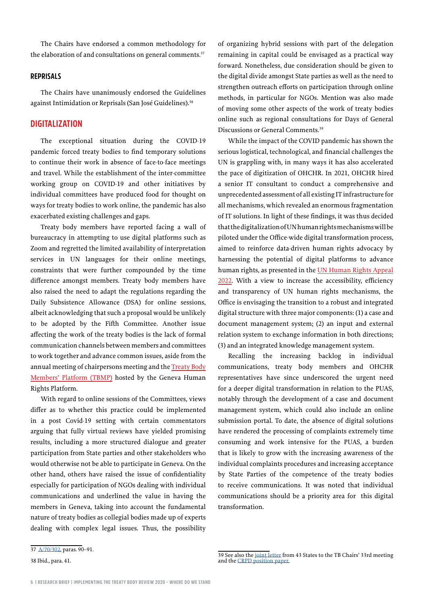The Chairs have endorsed a common methodology for the elaboration of and consultations on general comments.<sup>37</sup>

#### **REPRISALS**

The Chairs have unanimously endorsed the Guidelines against Intimidation or Reprisals (San José Guidelines).<sup>38</sup>

## **DIGITALIZATION**

The exceptional situation during the COVID-19 pandemic forced treaty bodies to find temporary solutions to continue their work in absence of face-to-face meetings and travel. While the establishment of the inter-committee working group on COVID-19 and other initiatives by individual committees have produced food for thought on ways for treaty bodies to work online, the pandemic has also exacerbated existing challenges and gaps.

Treaty body members have reported facing a wall of bureaucracy in attempting to use digital platforms such as Zoom and regretted the limited availability of interpretation services in UN languages for their online meetings, constraints that were further compounded by the time difference amongst members. Treaty body members have also raised the need to adapt the regulations regarding the Daily Subsistence Allowance (DSA) for online sessions, albeit acknowledging that such a proposal would be unlikely to be adopted by the Fifth Committee. Another issue affecting the work of the treaty bodies is the lack of formal communication channels between members and committees to work together and advance common issues, aside from the annual meeting of chairpersons meeting and the [Treaty Body](https://www.geneva-academy.ch/geneva-humanrights-platform/initiatives/detail/15-treaty-body-members-platform) [Members' Platform \(TBMP\)](https://www.geneva-academy.ch/geneva-humanrights-platform/initiatives/detail/15-treaty-body-members-platform) hosted by the Geneva Human Rights Platform.

With regard to online sessions of the Committees, views differ as to whether this practice could be implemented in a post Covid-19 setting with certain commentators arguing that fully virtual reviews have yielded promising results, including a more structured dialogue and greater participation from State parties and other stakeholders who would otherwise not be able to participate in Geneva. On the other hand, others have raised the issue of confidentiality especially for participation of NGOs dealing with individual communications and underlined the value in having the members in Geneva, taking into account the fundamental nature of treaty bodies as collegial bodies made up of experts dealing with complex legal issues. Thus, the possibility of organizing hybrid sessions with part of the delegation remaining in capital could be envisaged as a practical way forward. Nonetheless, due consideration should be given to the digital divide amongst State parties as well as the need to strengthen outreach efforts on participation through online methods, in particular for NGOs. Mention was also made of moving some other aspects of the work of treaty bodies online such as regional consultations for Days of General Discussions or General Comments.<sup>39</sup>

While the impact of the COVID pandemic has shown the serious logistical, technological, and financial challenges the UN is grappling with, in many ways it has also accelerated the pace of digitization of OHCHR. In 2021, OHCHR hired a senior IT consultant to conduct a comprehensive and unprecedented assessment of all existing IT infrastructure for all mechanisms, which revealed an enormous fragmentation of IT solutions. In light of these findings, it was thus decided that the digitalization of UN human rights mechanisms will be piloted under the Office-wide digital transformation process, aimed to reinforce data-driven human rights advocacy by harnessing the potential of digital platforms to advance human rights, as presented in the [UN Human Rights Appeal](https://www.ohchr.org/sites/default/files/2022-01/AnnualAppeal2022.pdf)  [2022](https://www.ohchr.org/sites/default/files/2022-01/AnnualAppeal2022.pdf). With a view to increase the accessibility, efficiency and transparency of UN human rights mechanisms, the Office is envisaging the transition to a robust and integrated digital structure with three major components: (1) a case and document management system; (2) an input and external relation system to exchange information in both directions; (3) and an integrated knowledge management system.

Recalling the increasing backlog in individual communications, treaty body members and OHCHR representatives have since underscored the urgent need for a deeper digital transformation in relation to the PUAS, notably through the development of a case and document management system, which could also include an online submission portal. To date, the absence of digital solutions have rendered the processing of complaints extremely time consuming and work intensive for the PUAS, a burden that is likely to grow with the increasing awareness of the individual complaints procedures and increasing acceptance by State Parties of the competence of the treaty bodies to receive communications. It was noted that individual communications should be a priority area for this digital transformation.

<sup>37</sup> [A/70/302,](http://undocs.org/en/A/70/302) paras. 90–91.

<sup>38</sup> Ibid., para. 41.

<sup>39</sup> See also the [joint letter](https://www.ohchr.org/sites/default/files/Documents/HRBodies/Annual-meeting/Letter-group-46-States-2June2021.pdf) from 43 States to the TB Chairs' 33rd meeting and the [CRPD position paper](https://www.ohchr.org/Documents/HRBodies/Annual-meeting/Proposal-CRPD-3August2021.docx).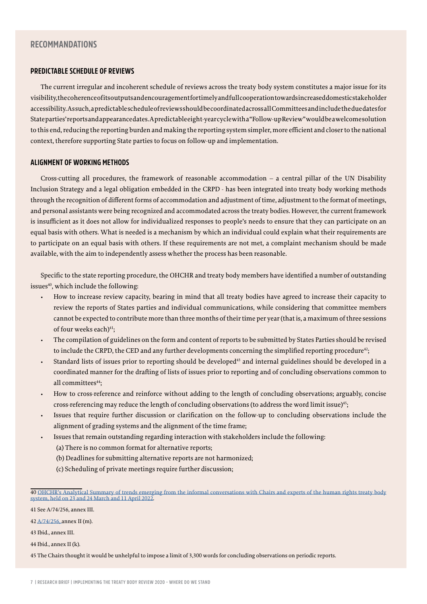## **RECOMMANDATIONS**

#### **PREDICTABLE SCHEDULE OF REVIEWS**

The current irregular and incoherent schedule of reviews across the treaty body system constitutes a major issue for its visibility, the coherence of its outputs and encouragement for timely and full cooperation towards increased domestic stakeholder accessibility. As such, a predictable schedule of reviews should be coordinated across all Committees and include the due dates for State parties' reports and appearance dates. A predictable eight-year cycle with a "Follow-up Review" would be a welcome solution to this end, reducing the reporting burden and making the reporting system simpler, more efficient and closer to the national context, therefore supporting State parties to focus on follow-up and implementation.

#### **ALIGNMENT OF WORKING METHODS**

Cross-cutting all procedures, the framework of reasonable accommodation – a central pillar of the UN Disability Inclusion Strategy and a legal obligation embedded in the CRPD - has been integrated into treaty body working methods through the recognition of different forms of accommodation and adjustment of time, adjustment to the format of meetings, and personal assistants were being recognized and accommodated across the treaty bodies. However, the current framework is insufficient as it does not allow for individualized responses to people's needs to ensure that they can participate on an equal basis with others. What is needed is a mechanism by which an individual could explain what their requirements are to participate on an equal basis with others. If these requirements are not met, a complaint mechanism should be made available, with the aim to independently assess whether the process has been reasonable.

Specific to the state reporting procedure, the OHCHR and treaty body members have identified a number of outstanding issues<sup>40</sup>, which include the following:

- How to increase review capacity, bearing in mind that all treaty bodies have agreed to increase their capacity to review the reports of States parties and individual communications, while considering that committee members cannot be expected to contribute more than three months of their time per year (that is, a maximum of three sessions of four weeks each)<sup>41</sup>;
- The compilation of guidelines on the form and content of reports to be submitted by States Parties should be revised to include the CRPD, the CED and any further developments concerning the simplified reporting procedure<sup>42</sup>;
- Standard lists of issues prior to reporting should be developed<sup>43</sup> and internal guidelines should be developed in a coordinated manner for the drafting of lists of issues prior to reporting and of concluding observations common to all committees<sup>44</sup>:
- How to cross-reference and reinforce without adding to the length of concluding observations; arguably, concise cross-referencing may reduce the length of concluding observations (to address the word limit issue)45;
- Issues that require further discussion or clarification on the follow-up to concluding observations include the alignment of grading systems and the alignment of the time frame;
- Issues that remain outstanding regarding interaction with stakeholders include the following: (a) There is no common format for alternative reports;
	- (b) Deadlines for submitting alternative reports are not harmonized;
	- (c) Scheduling of private meetings require further discussion;

45 The Chairs thought it would be unhelpful to impose a limit of 3,300 words for concluding observations on periodic reports.

<sup>40</sup> [OHCHR's Analytical Summary of trends emerging from the informal conversations with Chairs and experts of the human rights treaty body](https://www.ohchr.org/sites/default/files/2022-05/summary-informal-conversation-3may2022.docx)  [system, held on 23 and 24 March and 11 April 2022.](https://www.ohchr.org/sites/default/files/2022-05/summary-informal-conversation-3may2022.docx)

<sup>41</sup> See [A/74/256, a](http://undocs.org/en/A/74/256)nnex III.

<sup>42</sup> [A/74/256, a](http://undocs.org/en/A/74/256)nnex II (m).

<sup>43</sup> Ibid., annex III.

<sup>44</sup> Ibid., annex II (k).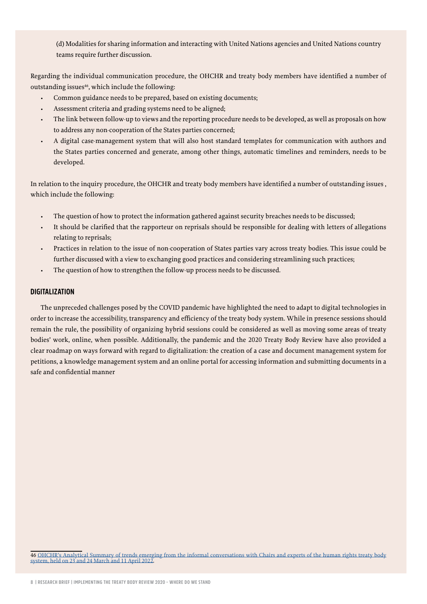(d) Modalities for sharing information and interacting with United Nations agencies and United Nations country teams require further discussion.

Regarding the individual communication procedure, the OHCHR and treaty body members have identified a number of outstanding issues<sup>46</sup>, which include the following:

- Common guidance needs to be prepared, based on existing documents;
- Assessment criteria and grading systems need to be aligned;
- The link between follow-up to views and the reporting procedure needs to be developed, as well as proposals on how to address any non-cooperation of the States parties concerned;
- A digital case-management system that will also host standard templates for communication with authors and the States parties concerned and generate, among other things, automatic timelines and reminders, needs to be developed.

In relation to the inquiry procedure, the OHCHR and treaty body members have identified a number of outstanding issues , which include the following:

- The question of how to protect the information gathered against security breaches needs to be discussed;
- It should be clarified that the rapporteur on reprisals should be responsible for dealing with letters of allegations relating to reprisals;
- Practices in relation to the issue of non-cooperation of States parties vary across treaty bodies. This issue could be further discussed with a view to exchanging good practices and considering streamlining such practices;
- The question of how to strengthen the follow-up process needs to be discussed.

#### **DIGITALIZATION**

The unpreceded challenges posed by the COVID pandemic have highlighted the need to adapt to digital technologies in order to increase the accessibility, transparency and efficiency of the treaty body system. While in presence sessions should remain the rule, the possibility of organizing hybrid sessions could be considered as well as moving some areas of treaty bodies' work, online, when possible. Additionally, the pandemic and the 2020 Treaty Body Review have also provided a clear roadmap on ways forward with regard to digitalization: the creation of a case and document management system for petitions, a knowledge management system and an online portal for accessing information and submitting documents in a safe and confidential manner

46 [OHCHR's Analytical Summary of trends emerging from the informal conversations with Chairs and experts of the human rights treaty body](https://www.ohchr.org/sites/default/files/2022-05/summary-informal-conversation-3may2022.docx)  system, held on 23 and 24 March and 11 April 2022